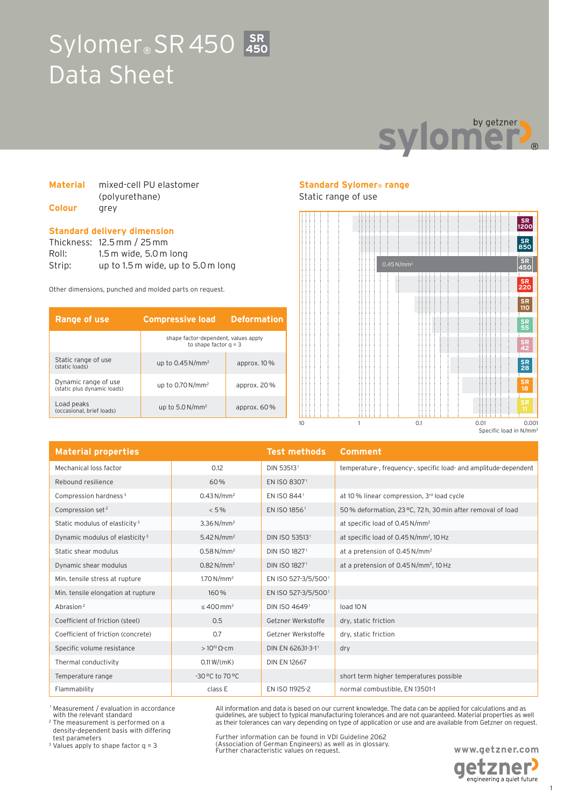# Sylomer<sup>®</sup> SR 450 3R Data Sheet **450**



#### **Material** mixed-cell PU elastomer (polyurethane) **Colour** grey

#### **Standard delivery dimension**

Thickness: 12.5 mm / 25 mm Roll: 1.5 m wide, 5.0 m long Strip: up to 1.5 m wide, up to 5.0 m long

Other dimensions, punched and molded parts on request.

| Range of use                                        | <b>Compressive load</b>                                         | <b>Deformation</b> |
|-----------------------------------------------------|-----------------------------------------------------------------|--------------------|
|                                                     | shape factor-dependent, values apply<br>to shape factor $a = 3$ |                    |
| Static range of use<br>(static loads)               | up to $0.45$ N/mm <sup>2</sup>                                  | approx. $10\%$     |
| Dynamic range of use<br>(static plus dynamic loads) | up to $0.70$ N/mm <sup>2</sup>                                  | approx. $20\%$     |
| Load peaks<br>(occasional, brief loads)             | up to $5.0 N/mm^2$                                              | approx. $60\%$     |

## **Standard Sylomer® range**

Static range of use



| <b>Material properties</b>                 |                            | <b>Test methods</b>      | <b>Comment</b>                                                   |
|--------------------------------------------|----------------------------|--------------------------|------------------------------------------------------------------|
| Mechanical loss factor                     | 0.12                       | DIN 535131               | temperature-, frequency-, specific load- and amplitude-dependent |
| Rebound resilience                         | 60%                        | EN ISO 83071             |                                                                  |
| Compression hardness <sup>3</sup>          | 0.43 N/mm <sup>2</sup>     | EN ISO 8441              | at 10 % linear compression, 3rd load cycle                       |
| Compression set <sup>2</sup>               | $< 5\%$                    | EN ISO 1856 <sup>1</sup> | 50% deformation, 23 °C, 72h, 30 min after removal of load        |
| Static modulus of elasticity <sup>3</sup>  | $3.36 N/mm^2$              |                          | at specific load of 0.45 N/mm <sup>2</sup>                       |
| Dynamic modulus of elasticity <sup>3</sup> | 5.42 N/mm <sup>2</sup>     | DIN ISO 535131           | at specific load of 0.45 N/mm <sup>2</sup> , 10 Hz               |
| Static shear modulus                       | $0.58 N/mm^2$              | DIN ISO 18271            | at a pretension of 0.45 N/mm <sup>2</sup>                        |
| Dynamic shear modulus                      | $0.82 N/mm^2$              | DIN ISO 18271            | at a pretension of 0.45 N/mm <sup>2</sup> , 10 Hz                |
| Min. tensile stress at rupture             | $1.70 N/mm^2$              | EN ISO 527-3/5/5001      |                                                                  |
| Min. tensile elongation at rupture         | 160%                       | EN ISO 527-3/5/5001      |                                                                  |
| Abrasion <sup>2</sup>                      | $\leq 400$ mm <sup>3</sup> | DIN ISO 46491            | load 10N                                                         |
| Coefficient of friction (steel)            | 0.5                        | Getzner Werkstoffe       | dry, static friction                                             |
| Coefficient of friction (concrete)         | 0.7                        | Getzner Werkstoffe       | dry, static friction                                             |
| Specific volume resistance                 | $>10^{10} \Omega$ cm       | DIN EN 62631-3-11        | dry                                                              |
| Thermal conductivity                       | 0.11 W/(mK)                | <b>DIN EN 12667</b>      |                                                                  |
| Temperature range                          | -30 °C to 70 °C            |                          | short term higher temperatures possible                          |
| Flammability                               | class E                    | EN ISO 11925-2           | normal combustible, EN 13501-1                                   |

 1 Measurement / evaluation in accordance with the relevant standard

2 The measurement is performed on a density-dependent basis with differing test parameters

3 Values apply to shape factor q = 3

Further information can be found in VDI Guideline 2062 (Association of German Engineers) as well as in glossary. Further characteristic values on request.

All information and data is based on our current knowledge. The data can be applied for calculations and as guidelines, are subject to typical manufacturing tolerances and are not guaranteed. Material properties as well as their tolerances can vary depending on type of application or use and are available from Getzner on request.



engineering a quiet future

1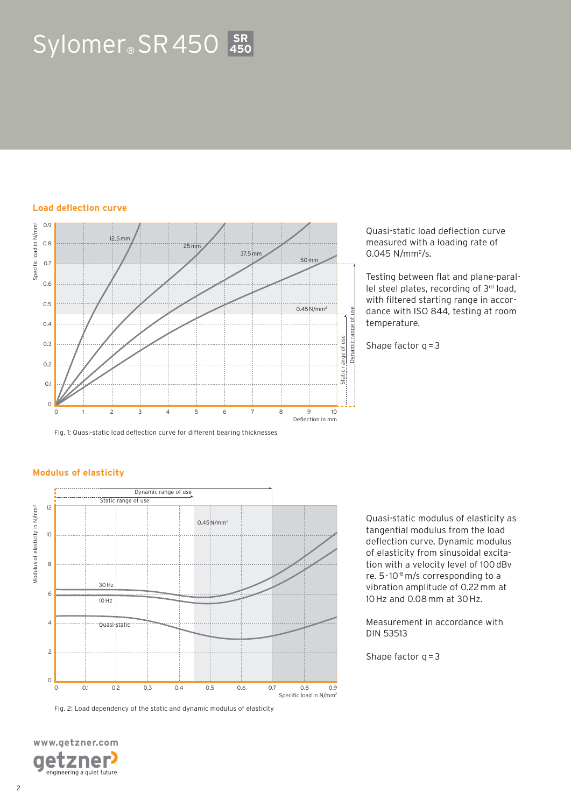# Sylomer<sup>®</sup> SR 450 3R **450**

#### **Load deflection curve**



Fig. 1: Quasi-static load deflection curve for different bearing thicknesses

#### Quasi-static load deflection curve measured with a loading rate of  $0.045$  N/mm<sup>2</sup>/s.

Testing between flat and plane-parallel steel plates, recording of 3rd load, with filtered starting range in accordance with ISO 844, testing at room temperature.

Shape factor  $q = 3$ 



Fig. 2: Load dependency of the static and dynamic modulus of elasticity

Quasi-static modulus of elasticity as tangential modulus from the load deflection curve. Dynamic modulus of elasticity from sinusoidal excitation with a velocity level of 100 dBv re. 5 · 10-8 m/s corresponding to a vibration amplitude of 0.22 mm at 10 Hz and 0.08 mm at 30 Hz.

Measurement in accordance with DIN 53513

Shape factor  $q = 3$ 

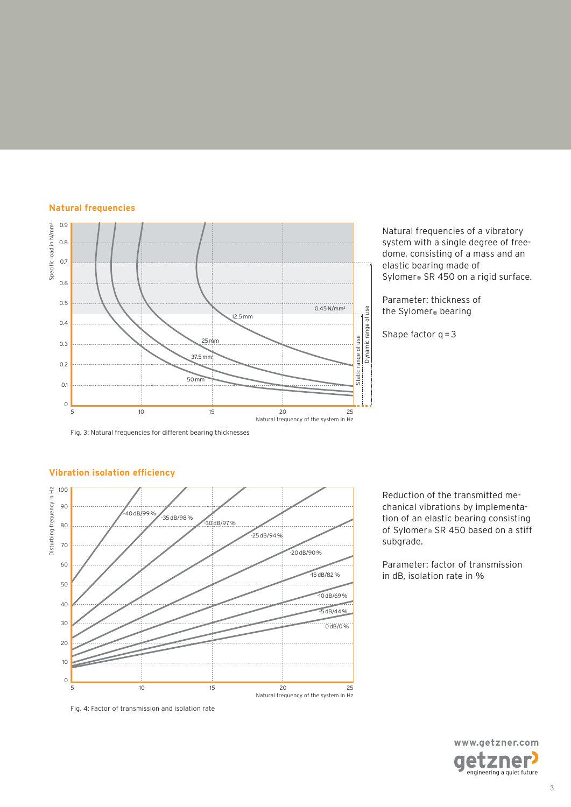#### **Natural frequencies**



Natural frequencies of a vibratory system with a single degree of freedome, consisting of a mass and an elastic bearing made of Sylomer® SR 450 on a rigid surface.

Parameter: thickness of the Sylomer® bearing

Shape factor  $q = 3$ 

Fig. 3: Natural frequencies for different bearing thicknesses

#### 5 10 15 20 25 Natural frequency of the system in Hz -40 dB/99 % -35 dB/98 % -30 dB/97 % -25 dB/94 % -20 dB/90 %  $-15$  dB/82 %  $-10$  dB/69%  $-5$  dB/44% 0 dB/0 % 100 90 80 70 60 50 40 30 20 10 0 Disturbing frequency in Hz

**Vibration isolation efficiency**

Fig. 4: Factor of transmission and isolation rate

Reduction of the transmitted mechanical vibrations by implementation of an elastic bearing consisting of Sylomer® SR 450 based on a stiff subgrade.

Parameter: factor of transmission in dB, isolation rate in %